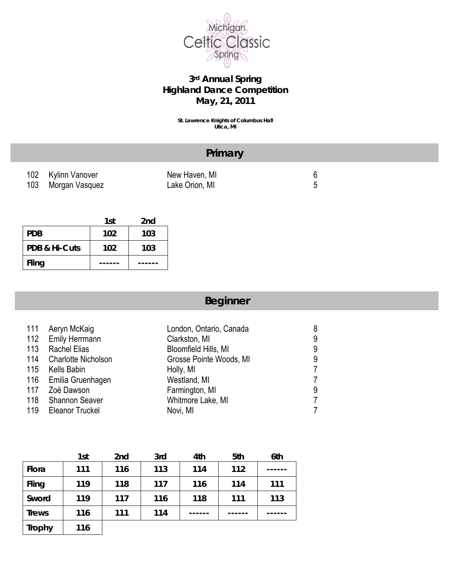

#### **3rd Annual Spring Highland Dance Competition May, 21, 2011**

**St. Lawrence Knights of Columbus Hall Utica, MI** 

|                    | Primary        |   |  |
|--------------------|----------------|---|--|
| 102 Kylinn Vanover | New Haven, MI  | ჩ |  |
| 103 Morgan Vasquez | Lake Orion, MI | ∽ |  |
|                    |                |   |  |

|               | 1st | 2 <sub>nd</sub> |
|---------------|-----|-----------------|
| <b>PDB</b>    | 102 | 103             |
| PDB & Hi-Cuts | 102 | 103             |
| Fling         |     |                 |

# **Beginner**

| 111 | Aeryn McKaig               | London, Ontario, Canada | 8 |
|-----|----------------------------|-------------------------|---|
| 112 | <b>Emily Herrmann</b>      | Clarkston, MI           | 9 |
| 113 | <b>Rachel Elias</b>        | Bloomfield Hills, MI    | 9 |
| 114 | <b>Charlotte Nicholson</b> | Grosse Pointe Woods, MI | 9 |
| 115 | Kells Babin                | Holly, MI               | 7 |
|     | 116 Emilia Gruenhagen      | Westland, MI            | 7 |
| 117 | Zoë Dawson                 | Farmington, MI          | 9 |
| 118 | <b>Shannon Seaver</b>      | Whitmore Lake, MI       | 7 |
| 119 | Eleanor Truckel            | Novi, MI                | 7 |
|     |                            |                         |   |

|               | 1st | 2nd | 3rd | 4th | 5th | 6th |
|---------------|-----|-----|-----|-----|-----|-----|
| Flora         | 111 | 116 | 113 | 114 | 112 |     |
| Fling         | 119 | 118 | 117 | 116 | 114 | 111 |
| Sword         | 119 | 117 | 116 | 118 | 111 | 113 |
| <b>Trews</b>  | 116 | 111 | 114 |     |     |     |
| <b>Trophy</b> | 116 |     |     |     |     |     |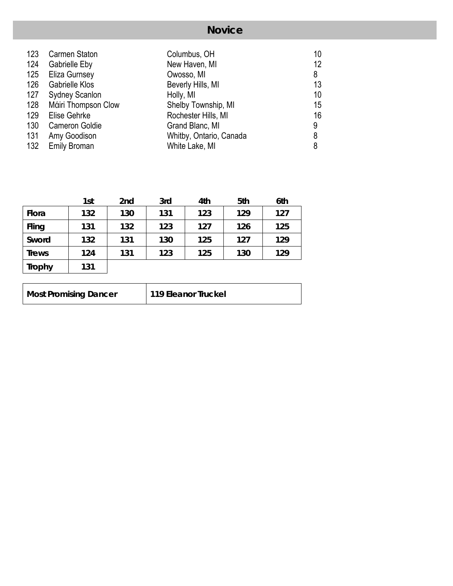## **Novice**

| <b>Carmen Staton</b>  | Columbus, OH            | 10 |
|-----------------------|-------------------------|----|
| <b>Gabrielle Eby</b>  | New Haven, MI           | 12 |
| Eliza Gurnsey         | Owosso, MI              | 8  |
| <b>Gabrielle Klos</b> | Beverly Hills, MI       | 13 |
| <b>Sydney Scanlon</b> | Holly, MI               | 10 |
| Máiri Thompson Clow   | Shelby Township, MI     | 15 |
| Elise Gehrke          | Rochester Hills, MI     | 16 |
| <b>Cameron Goldie</b> | Grand Blanc, MI         | 9  |
| Amy Goodison          | Whitby, Ontario, Canada | 8  |
| <b>Emily Broman</b>   | White Lake, MI          | 8  |
|                       |                         |    |

|               | 1st | 2nd | 3rd | 4th | 5th | 6th |
|---------------|-----|-----|-----|-----|-----|-----|
| Flora         | 132 | 130 | 131 | 123 | 129 | 127 |
| Fling         | 131 | 132 | 123 | 127 | 126 | 125 |
| Sword         | 132 | 131 | 130 | 125 | 127 | 129 |
| <b>Trews</b>  | 124 | 131 | 123 | 125 | 130 | 129 |
| <b>Trophy</b> | 131 |     |     |     |     |     |

| <b>Most Promising Dancer</b><br>119 Eleanor Truckel |  |
|-----------------------------------------------------|--|
|-----------------------------------------------------|--|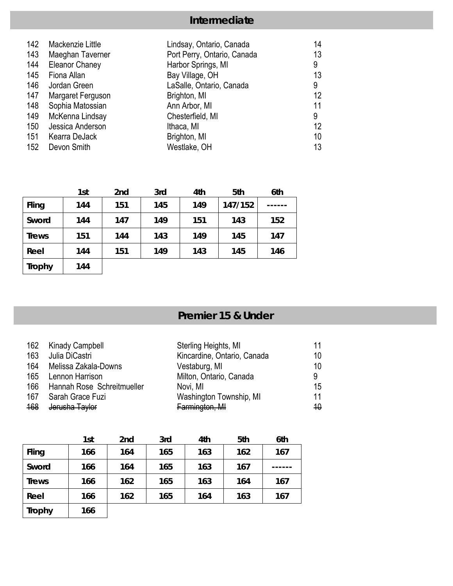## **Intermediate**

| 142 | Mackenzie Little      | Lindsay, Ontario, Canada    | 14 |
|-----|-----------------------|-----------------------------|----|
| 143 | Maeghan Taverner      | Port Perry, Ontario, Canada | 13 |
| 144 | <b>Eleanor Chaney</b> | Harbor Springs, MI          | 9  |
| 145 | Fiona Allan           | Bay Village, OH             | 13 |
| 146 | Jordan Green          | LaSalle, Ontario, Canada    | 9  |
| 147 | Margaret Ferguson     | Brighton, MI                | 12 |
| 148 | Sophia Matossian      | Ann Arbor, MI               | 11 |
| 149 | McKenna Lindsay       | Chesterfield, MI            | 9  |
| 150 | Jessica Anderson      | Ithaca, MI                  | 12 |
| 151 | Kearra DeJack         | Brighton, MI                | 10 |
| 152 | Devon Smith           | Westlake, OH                | 13 |

|               | 1st | 2nd | 3rd | 4th | 5th     | 6th |
|---------------|-----|-----|-----|-----|---------|-----|
| Fling         | 144 | 151 | 145 | 149 | 147/152 |     |
| Sword         | 144 | 147 | 149 | 151 | 143     | 152 |
| <b>Trews</b>  | 151 | 144 | 143 | 149 | 145     | 147 |
| Reel          | 144 | 151 | 149 | 143 | 145     | 146 |
| <b>Trophy</b> | 144 |     |     |     |         |     |

# **Premier 15 & Under**

|     | 162 Kinady Campbell            | Sterling Heights, MI        | 11           |
|-----|--------------------------------|-----------------------------|--------------|
| 163 | Julia DiCastri                 | Kincardine, Ontario, Canada | 10           |
| 164 | Melissa Zakala-Downs           | Vestaburg, MI               | 10           |
|     | 165 Lennon Harrison            | Milton, Ontario, Canada     | 9            |
|     | 166 Hannah Rose Schreitmueller | Novi, MI                    | 15           |
| 167 | Sarah Grace Fuzi               | Washington Township, MI     | 11           |
| 168 | <del>Jerusha Taylor</del>      | Farmington, MI              | $40^{\circ}$ |

|               | 1st | 2nd | 3rd | 4th | 5th | 6th |
|---------------|-----|-----|-----|-----|-----|-----|
| Fling         | 166 | 164 | 165 | 163 | 162 | 167 |
| Sword         | 166 | 164 | 165 | 163 | 167 |     |
| <b>Trews</b>  | 166 | 162 | 165 | 163 | 164 | 167 |
| Reel          | 166 | 162 | 165 | 164 | 163 | 167 |
| <b>Trophy</b> | 166 |     |     |     |     |     |